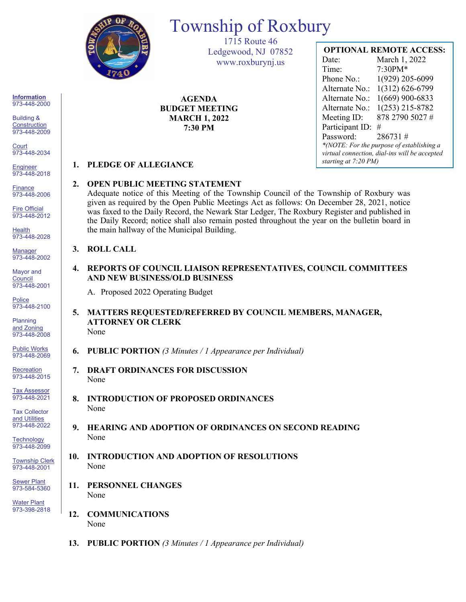

# Township of Roxbury

1715 Route 46 Ledgewood, NJ 07852 www.roxburynj.us

**AGENDA BUDGET MEETING MARCH 1, 2022 7:30 PM**

# **OPTIONAL REMOTE ACCESS:**

Date: March 1, 2022 Time: 7:30PM\* Phone No.: 1(929) 205-6099 Alternate No.: 1(312) 626-6799 Alternate No.: 1(669) 900-6833 Alternate No.: 1(253) 215-8782 Meeting ID: 878 2790 5027 # Participant ID: # Password: 286731 # *\*(NOTE: For the purpose of establishing a virtual connection, dial-ins will be accepted starting at 7:20 PM)*

## **1. PLEDGE OF ALLEGIANCE**

### **2. OPEN PUBLIC MEETING STATEMENT**

Adequate notice of this Meeting of the Township Council of the Township of Roxbury was given as required by the Open Public Meetings Act as follows: On December 28, 2021, notice was faxed to the Daily Record, the Newark Star Ledger, The Roxbury Register and published in the Daily Record; notice shall also remain posted throughout the year on the bulletin board in the main hallway of the Municipal Building.

### **3. ROLL CALL**

**4. REPORTS OF COUNCIL LIAISON REPRESENTATIVES, COUNCIL COMMITTEES AND NEW BUSINESS/OLD BUSINESS**

A. Proposed 2022 Operating Budget

- **5. MATTERS REQUESTED/REFERRED BY COUNCIL MEMBERS, MANAGER, ATTORNEY OR CLERK** None
- **6. PUBLIC PORTION** *(3 Minutes / 1 Appearance per Individual)*
- **7. DRAFT ORDINANCES FOR DISCUSSION** None
- **8. INTRODUCTION OF PROPOSED ORDINANCES** None
- **9. HEARING AND ADOPTION OF ORDINANCES ON SECOND READING** None
- **10. INTRODUCTION AND ADOPTION OF RESOLUTIONS** None
- **11. PERSONNEL CHANGES** None
- **12. COMMUNICATIONS** None
- **13. PUBLIC PORTION** *(3 Minutes / 1 Appearance per Individual)*

**Information** 973-448-2000

Building & **Construction** 973-448-2009

**Court** 973-448-2034

**Engineer** 973-448-2018

**Finance** 973-448-2006

Fire Official 973-448-2012

**Health** 973-448-2028

Manager 973-448-2002

Mayor and **Council** 973-448-2001

**Police** 973-448-2100

Planning and Zoning 973-448-2008

Public Works 973-448-2069

**Recreation** 973-448-2015

Tax Assessor 973-448-2021

Tax Collector and Utilities 973-448-2022

**Technology** 973-448-2099

Township Clerk 973-448-2001

**Sewer Plant** 973-584-5360

Water Plant 973-398-2818